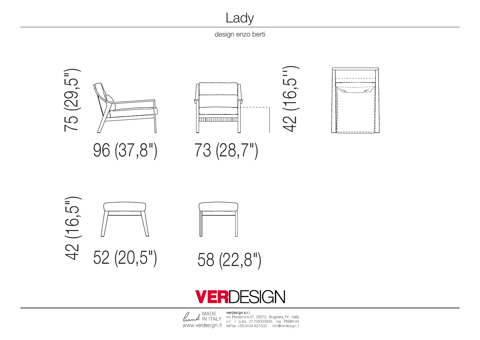design enzo berti

Lady



Lady

## DESIGN ER